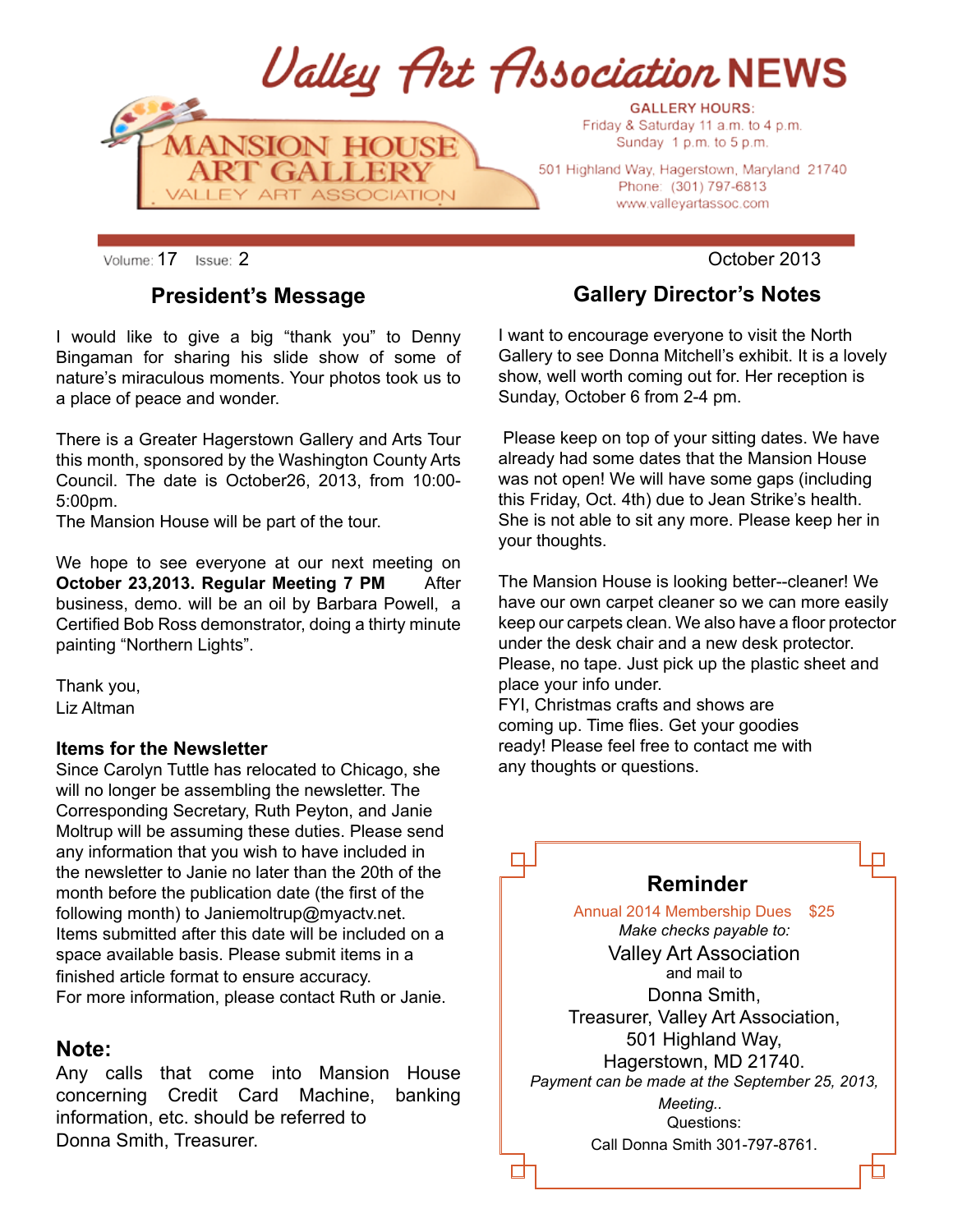

Volume: 17 Issue: 2 **October 2013** 

#### **President's Message**

I would like to give a big "thank you" to Denny Bingaman for sharing his slide show of some of nature's miraculous moments. Your photos took us to a place of peace and wonder.

There is a Greater Hagerstown Gallery and Arts Tour this month, sponsored by the Washington County Arts Council. The date is October26, 2013, from 10:00- 5:00pm.

The Mansion House will be part of the tour.

We hope to see everyone at our next meeting on **October 23,2013. Regular Meeting 7 PM** After business, demo. will be an oil by Barbara Powell, a Certified Bob Ross demonstrator, doing a thirty minute painting "Northern Lights".

Thank you, Liz Altman

#### **Items for the Newsletter**

Since Carolyn Tuttle has relocated to Chicago, she will no longer be assembling the newsletter. The Corresponding Secretary, Ruth Peyton, and Janie Moltrup will be assuming these duties. Please send any information that you wish to have included in the newsletter to Janie no later than the 20th of the month before the publication date (the first of the following month) to Janiemoltrup@myactv.net. Items submitted after this date will be included on a space available basis. Please submit items in a finished article format to ensure accuracy. For more information, please contact Ruth or Janie.

#### **Note:**

Any calls that come into Mansion House concerning Credit Card Machine, banking information, etc. should be referred to Donna Smith, Treasurer.

**Gallery Director's Notes**

I want to encourage everyone to visit the North Gallery to see Donna Mitchell's exhibit. It is a lovely show, well worth coming out for. Her reception is Sunday, October 6 from 2-4 pm.

 Please keep on top of your sitting dates. We have already had some dates that the Mansion House was not open! We will have some gaps (including this Friday, Oct. 4th) due to Jean Strike's health. She is not able to sit any more. Please keep her in your thoughts.

The Mansion House is looking better--cleaner! We have our own carpet cleaner so we can more easily keep our carpets clean. We also have a floor protector under the desk chair and a new desk protector. Please, no tape. Just pick up the plastic sheet and place your info under.

FYI, Christmas crafts and shows are coming up. Time flies. Get your goodies ready! Please feel free to contact me with any thoughts or questions.

| Reminder                                       |
|------------------------------------------------|
| <b>Annual 2014 Membership Dues</b><br>\$25     |
| Make checks payable to:                        |
| <b>Valley Art Association</b>                  |
| and mail to                                    |
| Donna Smith,                                   |
| Treasurer, Valley Art Association,             |
| 501 Highland Way,                              |
| Hagerstown, MD 21740.                          |
| Payment can be made at the September 25, 2013, |
| Meeting                                        |
| Questions:                                     |
| Call Donna Smith 301-797-8761.                 |
|                                                |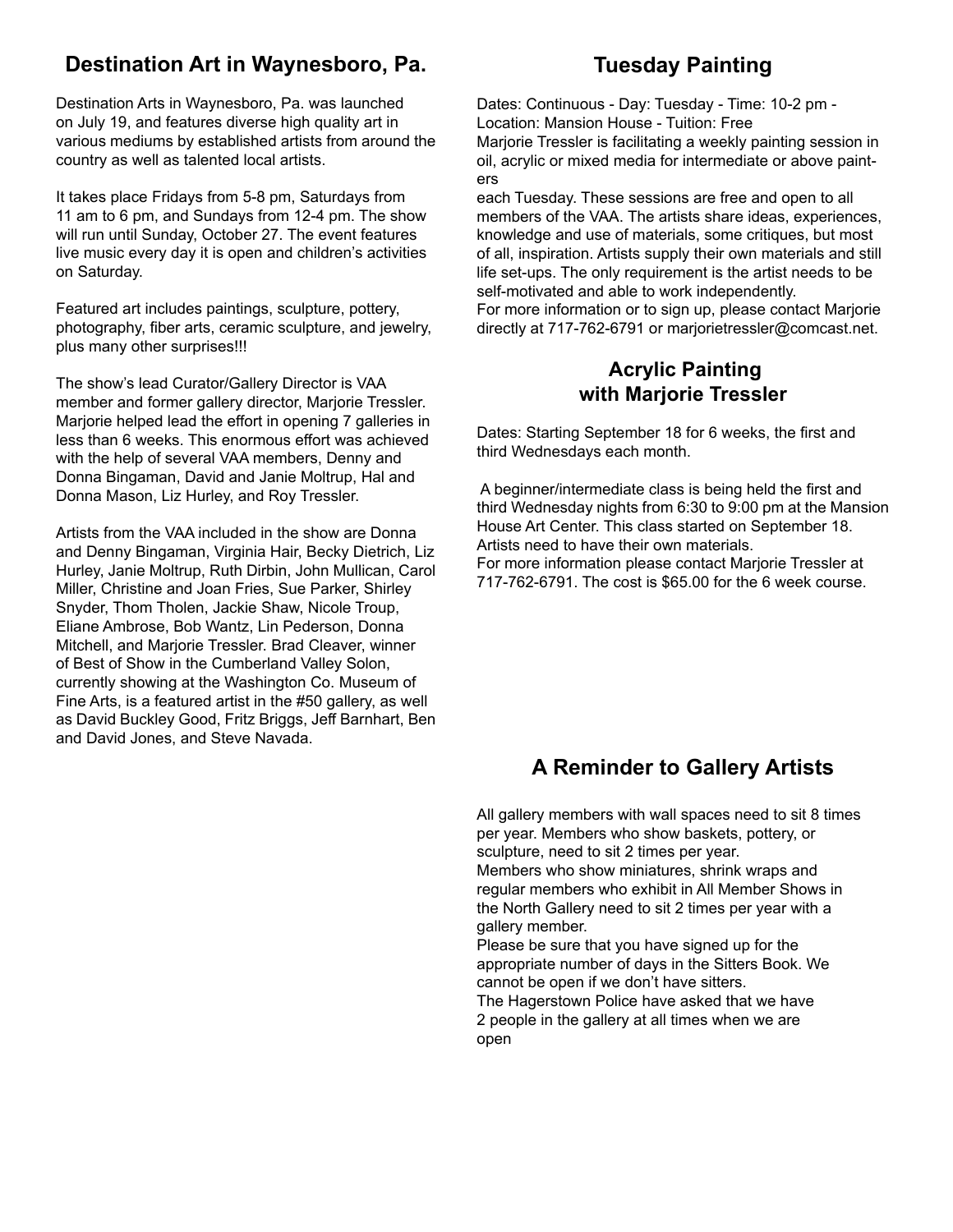## **Destination Art in Waynesboro, Pa.**

Destination Arts in Waynesboro, Pa. was launched on July 19, and features diverse high quality art in various mediums by established artists from around the country as well as talented local artists.

It takes place Fridays from 5-8 pm, Saturdays from 11 am to 6 pm, and Sundays from 12-4 pm. The show will run until Sunday, October 27. The event features live music every day it is open and children's activities on Saturday.

Featured art includes paintings, sculpture, pottery, photography, fiber arts, ceramic sculpture, and jewelry, plus many other surprises!!!

The show's lead Curator/Gallery Director is VAA member and former gallery director, Marjorie Tressler. Marjorie helped lead the effort in opening 7 galleries in less than 6 weeks. This enormous effort was achieved with the help of several VAA members, Denny and Donna Bingaman, David and Janie Moltrup, Hal and Donna Mason, Liz Hurley, and Roy Tressler.

Artists from the VAA included in the show are Donna and Denny Bingaman, Virginia Hair, Becky Dietrich, Liz Hurley, Janie Moltrup, Ruth Dirbin, John Mullican, Carol Miller, Christine and Joan Fries, Sue Parker, Shirley Snyder, Thom Tholen, Jackie Shaw, Nicole Troup, Eliane Ambrose, Bob Wantz, Lin Pederson, Donna Mitchell, and Marjorie Tressler. Brad Cleaver, winner of Best of Show in the Cumberland Valley Solon, currently showing at the Washington Co. Museum of Fine Arts, is a featured artist in the #50 gallery, as well as David Buckley Good, Fritz Briggs, Jeff Barnhart, Ben and David Jones, and Steve Navada.

## **Tuesday Painting**

Dates: Continuous - Day: Tuesday - Time: 10-2 pm - Location: Mansion House - Tuition: Free Marjorie Tressler is facilitating a weekly painting session in oil, acrylic or mixed media for intermediate or above painters

each Tuesday. These sessions are free and open to all members of the VAA. The artists share ideas, experiences, knowledge and use of materials, some critiques, but most of all, inspiration. Artists supply their own materials and still life set-ups. The only requirement is the artist needs to be self-motivated and able to work independently.

For more information or to sign up, please contact Marjorie directly at 717-762-6791 or marjorietressler@comcast.net.

#### **Acrylic Painting with Marjorie Tressler**

Dates: Starting September 18 for 6 weeks, the first and third Wednesdays each month.

 A beginner/intermediate class is being held the first and third Wednesday nights from 6:30 to 9:00 pm at the Mansion House Art Center. This class started on September 18. Artists need to have their own materials.

For more information please contact Marjorie Tressler at 717-762-6791. The cost is \$65.00 for the 6 week course.

## **A Reminder to Gallery Artists**

All gallery members with wall spaces need to sit 8 times per year. Members who show baskets, pottery, or sculpture, need to sit 2 times per year.

Members who show miniatures, shrink wraps and regular members who exhibit in All Member Shows in the North Gallery need to sit 2 times per year with a gallery member.

Please be sure that you have signed up for the appropriate number of days in the Sitters Book. We cannot be open if we don't have sitters.

The Hagerstown Police have asked that we have 2 people in the gallery at all times when we are open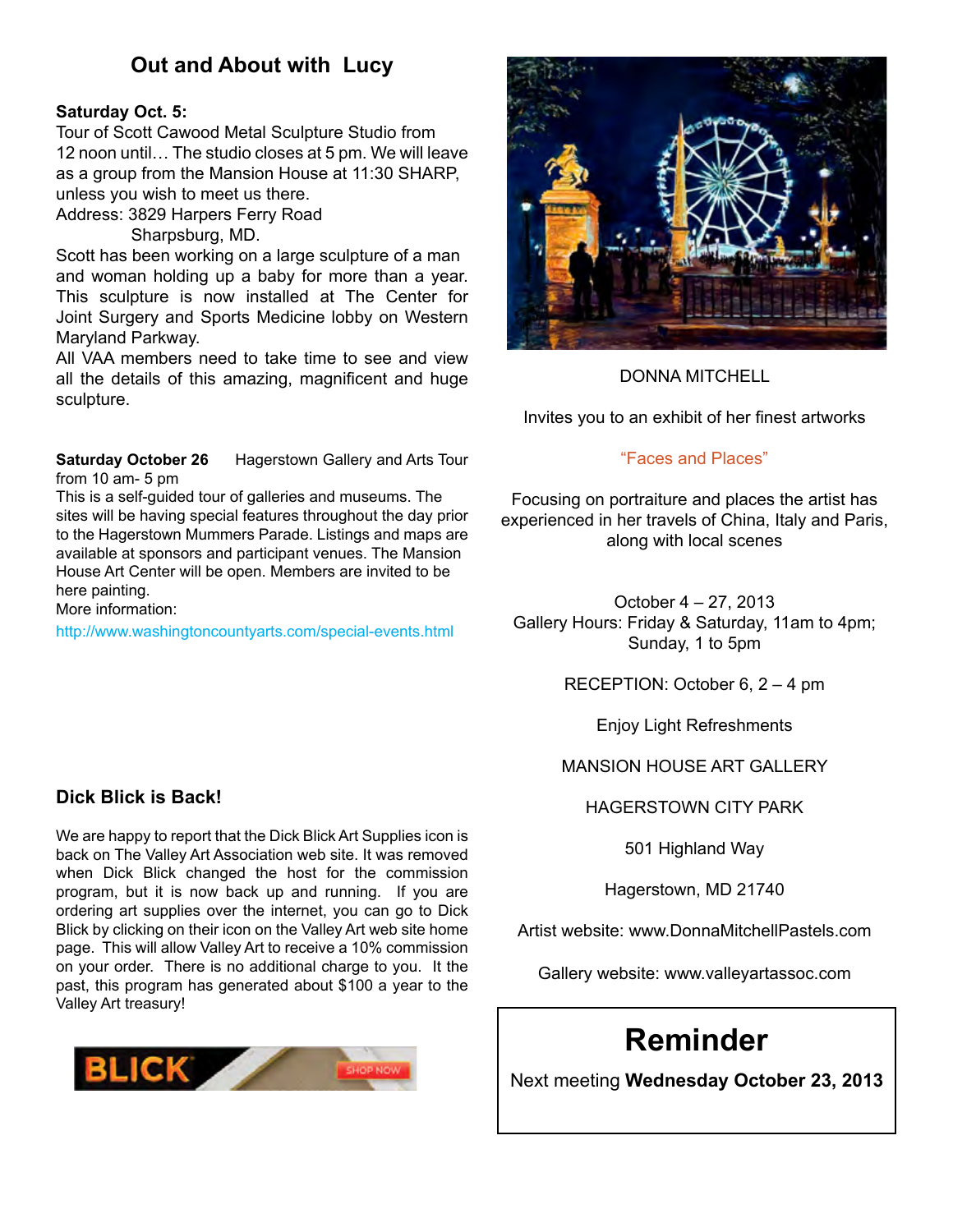## **Out and About with Lucy**

#### **Saturday Oct. 5:**

Tour of Scott Cawood Metal Sculpture Studio from 12 noon until… The studio closes at 5 pm. We will leave as a group from the Mansion House at 11:30 SHARP, unless you wish to meet us there.

Address: 3829 Harpers Ferry Road

Sharpsburg, MD.

Scott has been working on a large sculpture of a man and woman holding up a baby for more than a year. This sculpture is now installed at The Center for Joint Surgery and Sports Medicine lobby on Western Maryland Parkway.

All VAA members need to take time to see and view all the details of this amazing, magnificent and huge sculpture.

**Saturday October 26** Hagerstown Gallery and Arts Tour from 10 am- 5 pm

This is a self-guided tour of galleries and museums. The sites will be having special features throughout the day prior to the Hagerstown Mummers Parade. Listings and maps are available at sponsors and participant venues. The Mansion House Art Center will be open. Members are invited to be here painting.

More information:

http://www.washingtoncountyarts.com/special-events.html

#### **Dick Blick is Back!**

We are happy to report that the Dick Blick Art Supplies icon is back on The Valley Art Association web site. It was removed when Dick Blick changed the host for the commission program, but it is now back up and running. If you are ordering art supplies over the internet, you can go to Dick Blick by clicking on their icon on the Valley Art web site home page. This will allow Valley Art to receive a 10% commission on your order. There is no additional charge to you. It the past, this program has generated about \$100 a year to the Valley Art treasury!





DONNA MITCHELL

Invites you to an exhibit of her finest artworks

#### "Faces and Places"

Focusing on portraiture and places the artist has experienced in her travels of China, Italy and Paris, along with local scenes

October 4 – 27, 2013 Gallery Hours: Friday & Saturday, 11am to 4pm; Sunday, 1 to 5pm

RECEPTION: October 6, 2 – 4 pm

Enjoy Light Refreshments

MANSION HOUSE ART GALLERY

HAGERSTOWN CITY PARK

501 Highland Way

Hagerstown, MD 21740

Artist website: www.DonnaMitchellPastels.com

Gallery website: www.valleyartassoc.com

# **Reminder**

Next meeting **Wednesday October 23, 2013**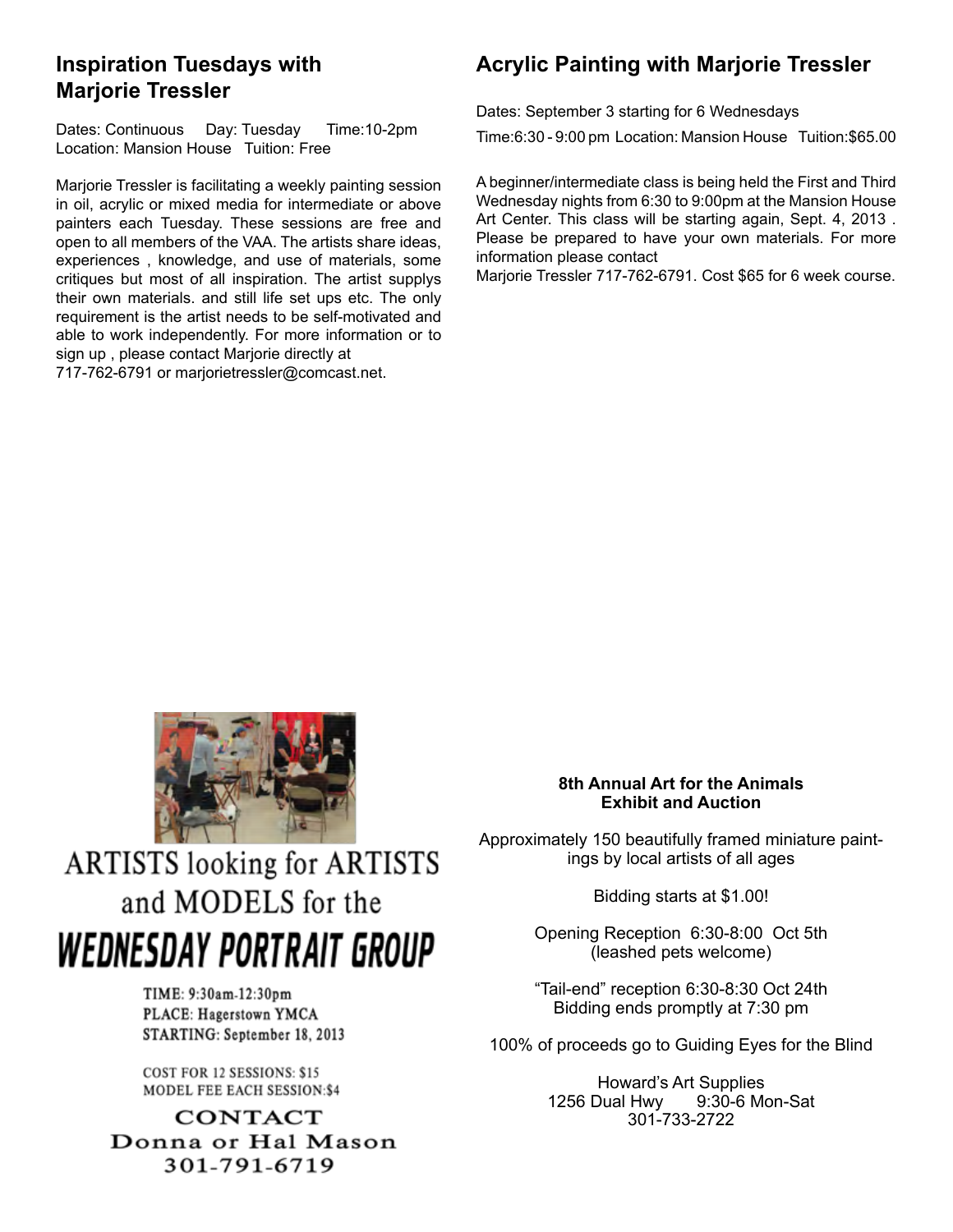## **Inspiration Tuesdays with Marjorie Tressler**

Dates: Continuous Day: Tuesday Time:10-2pm Location: Mansion House Tuition: Free

Marjorie Tressler is facilitating a weekly painting session in oil, acrylic or mixed media for intermediate or above painters each Tuesday. These sessions are free and open to all members of the VAA. The artists share ideas, experiences , knowledge, and use of materials, some critiques but most of all inspiration. The artist supplys their own materials. and still life set ups etc. The only requirement is the artist needs to be self-motivated and able to work independently. For more information or to sign up , please contact Marjorie directly at

717-762-6791 or [marjorietressler@comcast.net.](mailto:marjorietressler%40comcast.net.?subject=class)

## **Acrylic Painting with Marjorie Tressler**

Dates: September 3 starting for 6 Wednesdays

Time:6:30 - 9:00 pm Location: Mansion House Tuition:\$65.00

A beginner/intermediate class is being held the First and Third Wednesday nights from 6:30 to 9:00pm at the Mansion House Art Center. This class will be starting again, Sept. 4, 2013 . Please be prepared to have your own materials. For more information please contact

Marjorie Tressler 717-762-6791. Cost \$65 for 6 week course.



**ARTISTS** looking for ARTISTS and MODELS for the WEDNESDAY PORTRAIT GROUP

> TIME: 9:30am-12:30pm PLACE: Hagerstown YMCA STARTING: September 18, 2013

COST FOR 12 SESSIONS: \$15 MODEL FEE EACH SESSION:\$4

**CONTACT** Donna or Hal Mason 301-791-6719

#### **8th Annual Art for the Animals Exhibit and Auction**

Approximately 150 beautifully framed miniature paintings by local artists of all ages

Bidding starts at \$1.00!

Opening Reception 6:30-8:00 Oct 5th (leashed pets welcome)

"Tail-end" reception 6:30-8:30 Oct 24th Bidding ends promptly at 7:30 pm

100% of proceeds go to Guiding Eyes for the Blind

Howard's Art Supplies 1256 Dual Hwy 9:30-6 Mon-Sat 301-733-2722